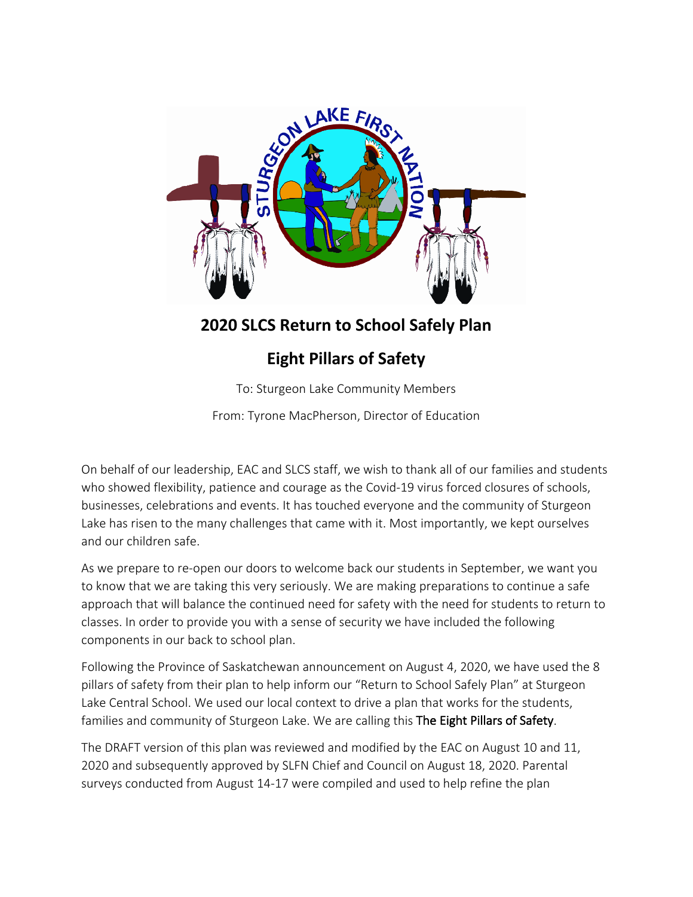

# **2020 SLCS Return to School Safely Plan**

# **Eight Pillars of Safety**

To: Sturgeon Lake Community Members

From: Tyrone MacPherson, Director of Education

On behalf of our leadership, EAC and SLCS staff, we wish to thank all of our families and students who showed flexibility, patience and courage as the Covid-19 virus forced closures of schools, businesses, celebrations and events. It has touched everyone and the community of Sturgeon Lake has risen to the many challenges that came with it. Most importantly, we kept ourselves and our children safe.

As we prepare to re-open our doors to welcome back our students in September, we want you to know that we are taking this very seriously. We are making preparations to continue a safe approach that will balance the continued need for safety with the need for students to return to classes. In order to provide you with a sense of security we have included the following components in our back to school plan.

Following the Province of Saskatchewan announcement on August 4, 2020, we have used the 8 pillars of safety from their plan to help inform our "Return to School Safely Plan" at Sturgeon Lake Central School. We used our local context to drive a plan that works for the students, families and community of Sturgeon Lake. We are calling this The Eight Pillars of Safety.

The DRAFT version of this plan was reviewed and modified by the EAC on August 10 and 11, 2020 and subsequently approved by SLFN Chief and Council on August 18, 2020. Parental surveys conducted from August 14-17 were compiled and used to help refine the plan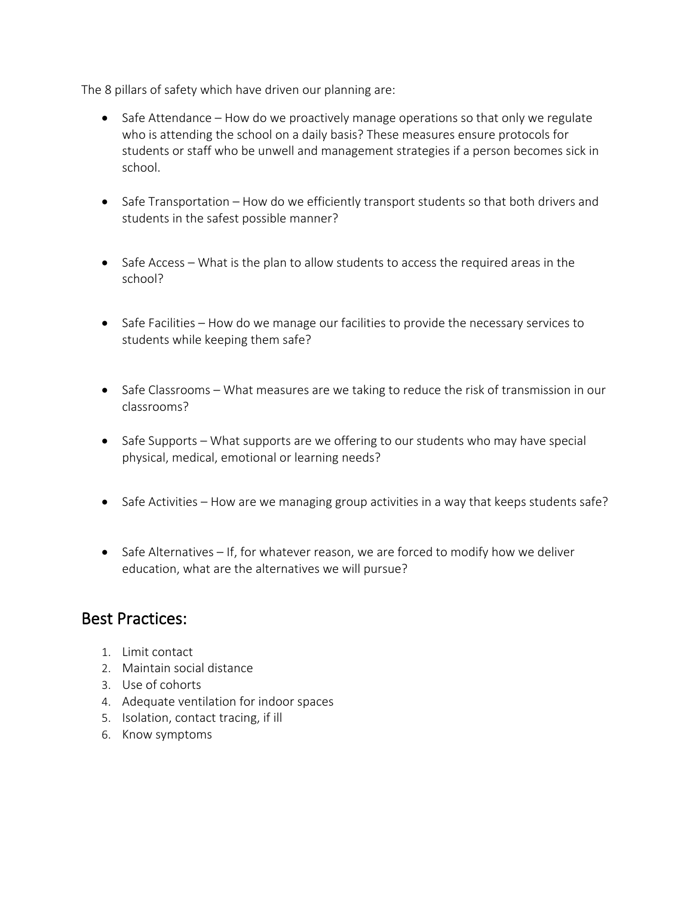The 8 pillars of safety which have driven our planning are:

- Safe Attendance How do we proactively manage operations so that only we regulate who is attending the school on a daily basis? These measures ensure protocols for students or staff who be unwell and management strategies if a person becomes sick in school.
- Safe Transportation How do we efficiently transport students so that both drivers and students in the safest possible manner?
- Safe Access What is the plan to allow students to access the required areas in the school?
- Safe Facilities How do we manage our facilities to provide the necessary services to students while keeping them safe?
- Safe Classrooms What measures are we taking to reduce the risk of transmission in our classrooms?
- Safe Supports What supports are we offering to our students who may have special physical, medical, emotional or learning needs?
- Safe Activities How are we managing group activities in a way that keeps students safe?
- Safe Alternatives If, for whatever reason, we are forced to modify how we deliver education, what are the alternatives we will pursue?

### Best Practices:

- 1. Limit contact
- 2. Maintain social distance
- 3. Use of cohorts
- 4. Adequate ventilation for indoor spaces
- 5. Isolation, contact tracing, if ill
- 6. Know symptoms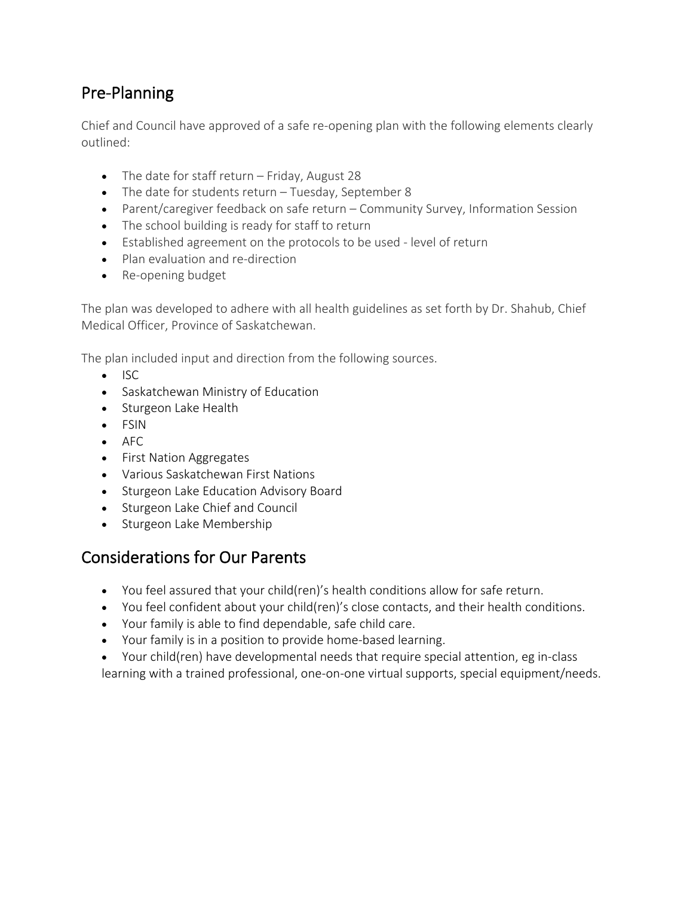## Pre-Planning

Chief and Council have approved of a safe re-opening plan with the following elements clearly outlined:

- The date for staff return Friday, August 28
- The date for students return Tuesday, September 8
- Parent/caregiver feedback on safe return Community Survey, Information Session
- The school building is ready for staff to return
- Established agreement on the protocols to be used level of return
- Plan evaluation and re-direction
- Re-opening budget

The plan was developed to adhere with all health guidelines as set forth by Dr. Shahub, Chief Medical Officer, Province of Saskatchewan.

The plan included input and direction from the following sources.

- ISC
- Saskatchewan Ministry of Education
- Sturgeon Lake Health
- FSIN
- AFC
- First Nation Aggregates
- Various Saskatchewan First Nations
- Sturgeon Lake Education Advisory Board
- Sturgeon Lake Chief and Council
- Sturgeon Lake Membership

### Considerations for Our Parents

- You feel assured that your child(ren)'s health conditions allow for safe return.
- You feel confident about your child(ren)'s close contacts, and their health conditions.
- Your family is able to find dependable, safe child care.
- Your family is in a position to provide home-based learning.
- Your child(ren) have developmental needs that require special attention, eg in-class learning with a trained professional, one-on-one virtual supports, special equipment/needs.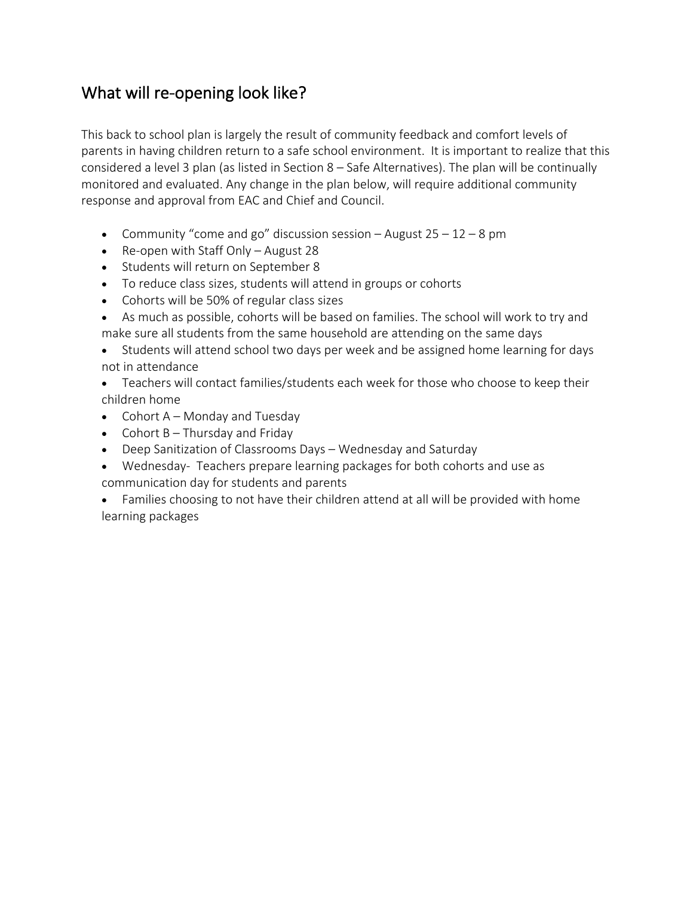## What will re-opening look like?

This back to school plan is largely the result of community feedback and comfort levels of parents in having children return to a safe school environment. It is important to realize that this considered a level 3 plan (as listed in Section 8 – Safe Alternatives). The plan will be continually monitored and evaluated. Any change in the plan below, will require additional community response and approval from EAC and Chief and Council.

- Community "come and go" discussion session August  $25 12 8$  pm
- Re-open with Staff Only August 28
- Students will return on September 8
- To reduce class sizes, students will attend in groups or cohorts
- Cohorts will be 50% of regular class sizes
- As much as possible, cohorts will be based on families. The school will work to try and make sure all students from the same household are attending on the same days
- Students will attend school two days per week and be assigned home learning for days not in attendance
- Teachers will contact families/students each week for those who choose to keep their children home
- Cohort A Monday and Tuesday
- Cohort  $B -$ Thursday and Friday
- Deep Sanitization of Classrooms Days Wednesday and Saturday
- Wednesday- Teachers prepare learning packages for both cohorts and use as communication day for students and parents
- Families choosing to not have their children attend at all will be provided with home learning packages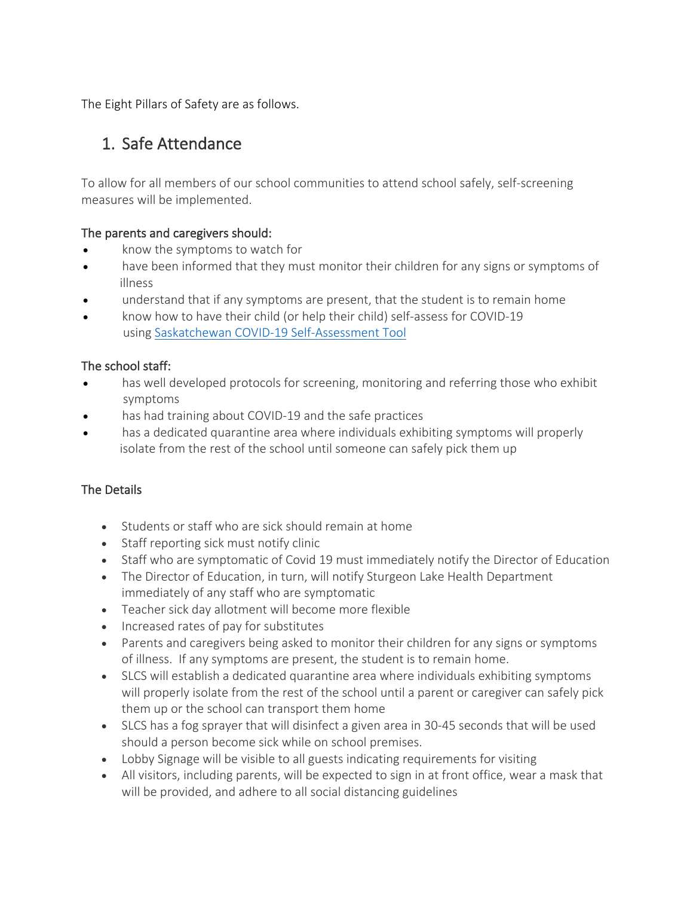The Eight Pillars of Safety are as follows.

# 1. Safe Attendance

To allow for all members of our school communities to attend school safely, self-screening measures will be implemented.

#### The parents and caregivers should:

- know the symptoms to watch for
- have been informed that they must monitor their children for any signs or symptoms of illness
- understand that if any symptoms are present, that the student is to remain home
- know how to have their child (or help their child) self-assess for COVID-19 using Saskatchewan COVID-19 Self-Assessment Tool

### The school staff:

- has well developed protocols for screening, monitoring and referring those who exhibit symptoms
- has had training about COVID-19 and the safe practices
- has a dedicated quarantine area where individuals exhibiting symptoms will properly isolate from the rest of the school until someone can safely pick them up

- Students or staff who are sick should remain at home
- Staff reporting sick must notify clinic
- Staff who are symptomatic of Covid 19 must immediately notify the Director of Education
- The Director of Education, in turn, will notify Sturgeon Lake Health Department immediately of any staff who are symptomatic
- Teacher sick day allotment will become more flexible
- Increased rates of pay for substitutes
- Parents and caregivers being asked to monitor their children for any signs or symptoms of illness. If any symptoms are present, the student is to remain home.
- SLCS will establish a dedicated quarantine area where individuals exhibiting symptoms will properly isolate from the rest of the school until a parent or caregiver can safely pick them up or the school can transport them home
- SLCS has a fog sprayer that will disinfect a given area in 30-45 seconds that will be used should a person become sick while on school premises.
- Lobby Signage will be visible to all guests indicating requirements for visiting
- All visitors, including parents, will be expected to sign in at front office, wear a mask that will be provided, and adhere to all social distancing guidelines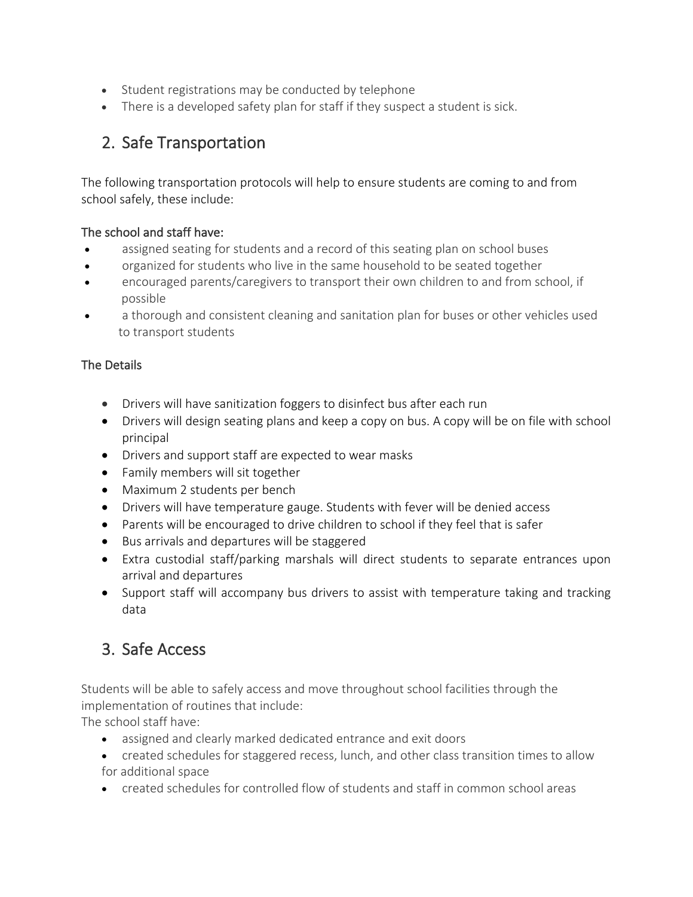- Student registrations may be conducted by telephone
- There is a developed safety plan for staff if they suspect a student is sick.

# 2. Safe Transportation

The following transportation protocols will help to ensure students are coming to and from school safely, these include:

### The school and staff have:

- assigned seating for students and a record of this seating plan on school buses
- organized for students who live in the same household to be seated together
- encouraged parents/caregivers to transport their own children to and from school, if possible
- a thorough and consistent cleaning and sanitation plan for buses or other vehicles used to transport students

### The Details

- Drivers will have sanitization foggers to disinfect bus after each run
- Drivers will design seating plans and keep a copy on bus. A copy will be on file with school principal
- Drivers and support staff are expected to wear masks
- Family members will sit together
- Maximum 2 students per bench
- Drivers will have temperature gauge. Students with fever will be denied access
- Parents will be encouraged to drive children to school if they feel that is safer
- Bus arrivals and departures will be staggered
- Extra custodial staff/parking marshals will direct students to separate entrances upon arrival and departures
- Support staff will accompany bus drivers to assist with temperature taking and tracking data

### 3. Safe Access

Students will be able to safely access and move throughout school facilities through the implementation of routines that include:

The school staff have:

- assigned and clearly marked dedicated entrance and exit doors
- created schedules for staggered recess, lunch, and other class transition times to allow for additional space
- created schedules for controlled flow of students and staff in common school areas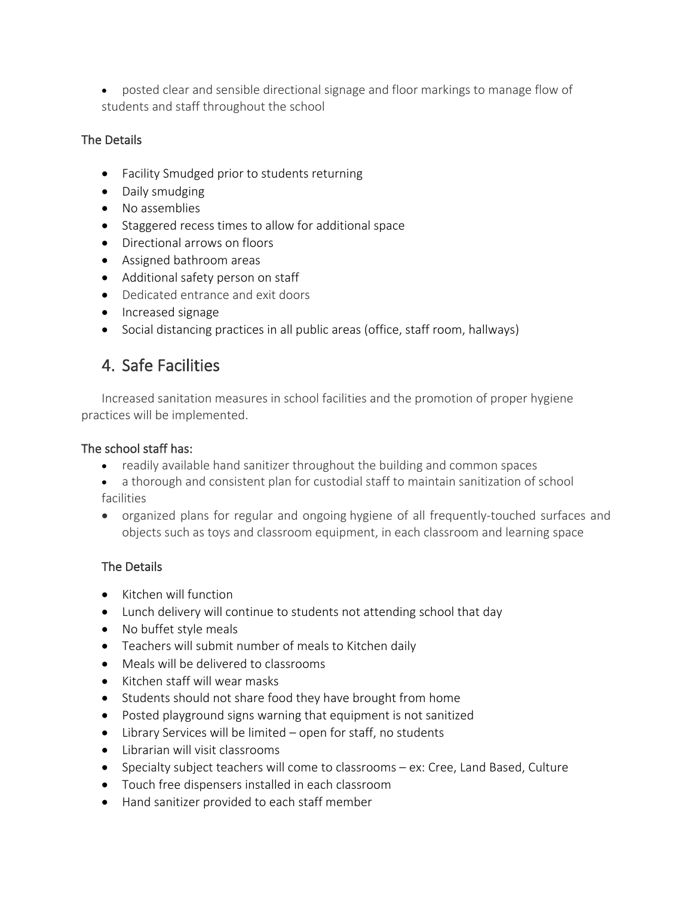• posted clear and sensible directional signage and floor markings to manage flow of students and staff throughout the school

### The Details

- Facility Smudged prior to students returning
- Daily smudging
- No assemblies
- Staggered recess times to allow for additional space
- Directional arrows on floors
- Assigned bathroom areas
- Additional safety person on staff
- Dedicated entrance and exit doors
- Increased signage
- Social distancing practices in all public areas (office, staff room, hallways)

## 4. Safe Facilities

Increased sanitation measures in school facilities and the promotion of proper hygiene practices will be implemented.

#### The school staff has:

- readily available hand sanitizer throughout the building and common spaces
- a thorough and consistent plan for custodial staff to maintain sanitization of school facilities
- organized plans for regular and ongoing hygiene of all frequently-touched surfaces and objects such as toys and classroom equipment, in each classroom and learning space

- Kitchen will function
- Lunch delivery will continue to students not attending school that day
- No buffet style meals
- Teachers will submit number of meals to Kitchen daily
- Meals will be delivered to classrooms
- Kitchen staff will wear masks
- Students should not share food they have brought from home
- Posted playground signs warning that equipment is not sanitized
- Library Services will be limited open for staff, no students
- Librarian will visit classrooms
- Specialty subject teachers will come to classrooms ex: Cree, Land Based, Culture
- Touch free dispensers installed in each classroom
- Hand sanitizer provided to each staff member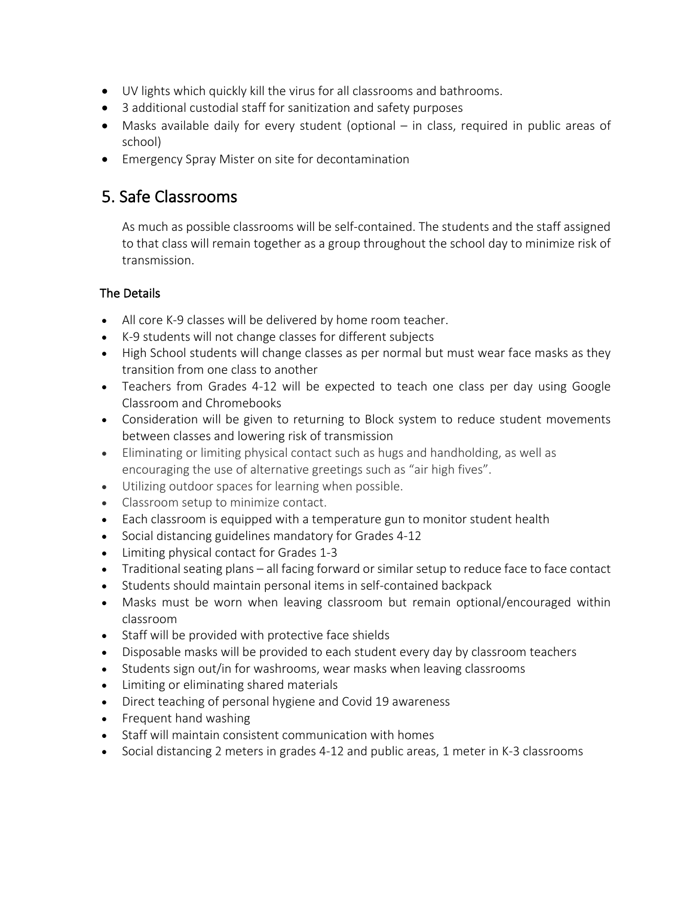- UV lights which quickly kill the virus for all classrooms and bathrooms.
- 3 additional custodial staff for sanitization and safety purposes
- Masks available daily for every student (optional in class, required in public areas of school)
- Emergency Spray Mister on site for decontamination

### 5. Safe Classrooms

As much as possible classrooms will be self-contained. The students and the staff assigned to that class will remain together as a group throughout the school day to minimize risk of transmission.

- All core K-9 classes will be delivered by home room teacher.
- K-9 students will not change classes for different subjects
- High School students will change classes as per normal but must wear face masks as they transition from one class to another
- Teachers from Grades 4-12 will be expected to teach one class per day using Google Classroom and Chromebooks
- Consideration will be given to returning to Block system to reduce student movements between classes and lowering risk of transmission
- Eliminating or limiting physical contact such as hugs and handholding, as well as encouraging the use of alternative greetings such as "air high fives".
- Utilizing outdoor spaces for learning when possible.
- Classroom setup to minimize contact.
- Each classroom is equipped with a temperature gun to monitor student health
- Social distancing guidelines mandatory for Grades 4-12
- Limiting physical contact for Grades 1-3
- Traditional seating plans all facing forward or similar setup to reduce face to face contact
- Students should maintain personal items in self-contained backpack
- Masks must be worn when leaving classroom but remain optional/encouraged within classroom
- Staff will be provided with protective face shields
- Disposable masks will be provided to each student every day by classroom teachers
- Students sign out/in for washrooms, wear masks when leaving classrooms
- Limiting or eliminating shared materials
- Direct teaching of personal hygiene and Covid 19 awareness
- Frequent hand washing
- Staff will maintain consistent communication with homes
- Social distancing 2 meters in grades 4-12 and public areas, 1 meter in K-3 classrooms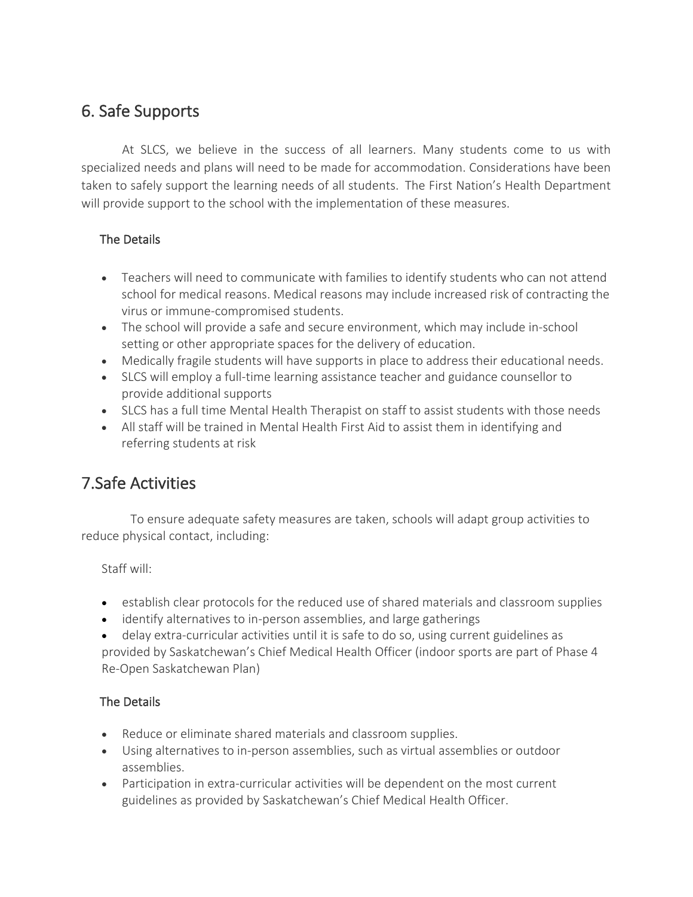# 6. Safe Supports

At SLCS, we believe in the success of all learners. Many students come to us with specialized needs and plans will need to be made for accommodation. Considerations have been taken to safely support the learning needs of all students.  The First Nation's Health Department will provide support to the school with the implementation of these measures.

### The Details

- Teachers will need to communicate with families to identify students who can not attend school for medical reasons. Medical reasons may include increased risk of contracting the virus or immune-compromised students.
- The school will provide a safe and secure environment, which may include in-school setting or other appropriate spaces for the delivery of education.
- Medically fragile students will have supports in place to address their educational needs.
- SLCS will employ a full-time learning assistance teacher and guidance counsellor to provide additional supports
- SLCS has a full time Mental Health Therapist on staff to assist students with those needs
- All staff will be trained in Mental Health First Aid to assist them in identifying and referring students at risk

# 7.Safe Activities

 To ensure adequate safety measures are taken, schools will adapt group activities to reduce physical contact, including:

Staff will:

- establish clear protocols for the reduced use of shared materials and classroom supplies
- identify alternatives to in-person assemblies, and large gatherings
- delay extra-curricular activities until it is safe to do so, using current guidelines as provided by Saskatchewan's Chief Medical Health Officer (indoor sports are part of Phase 4 Re-Open Saskatchewan Plan)

- Reduce or eliminate shared materials and classroom supplies.
- Using alternatives to in-person assemblies, such as virtual assemblies or outdoor assemblies.
- Participation in extra-curricular activities will be dependent on the most current guidelines as provided by Saskatchewan's Chief Medical Health Officer.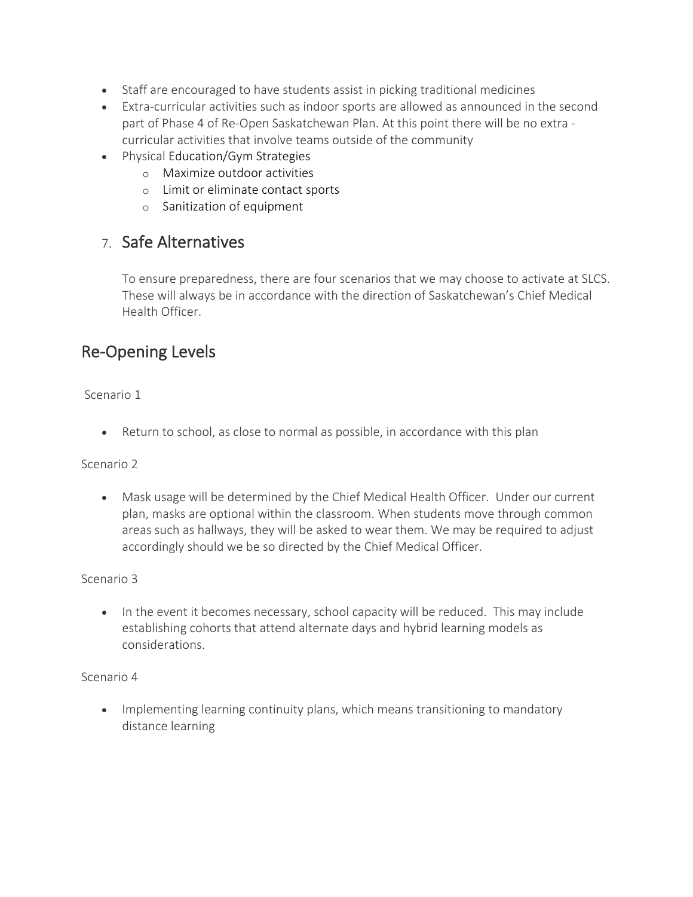- Staff are encouraged to have students assist in picking traditional medicines
- Extra-curricular activities such as indoor sports are allowed as announced in the second part of Phase 4 of Re-Open Saskatchewan Plan. At this point there will be no extra curricular activities that involve teams outside of the community
- Physical Education/Gym Strategies
	- o Maximize outdoor activities
	- o Limit or eliminate contact sports
	- o Sanitization of equipment

### 7. Safe Alternatives

To ensure preparedness, there are four scenarios that we may choose to activate at SLCS. These will always be in accordance with the direction of Saskatchewan's Chief Medical Health Officer.

### Re-Opening Levels

#### Scenario 1

• Return to school, as close to normal as possible, in accordance with this plan

#### Scenario 2

• Mask usage will be determined by the Chief Medical Health Officer. Under our current plan, masks are optional within the classroom. When students move through common areas such as hallways, they will be asked to wear them. We may be required to adjust accordingly should we be so directed by the Chief Medical Officer.

#### Scenario 3

• In the event it becomes necessary, school capacity will be reduced. This may include establishing cohorts that attend alternate days and hybrid learning models as considerations.

#### Scenario 4

• Implementing learning continuity plans, which means transitioning to mandatory distance learning